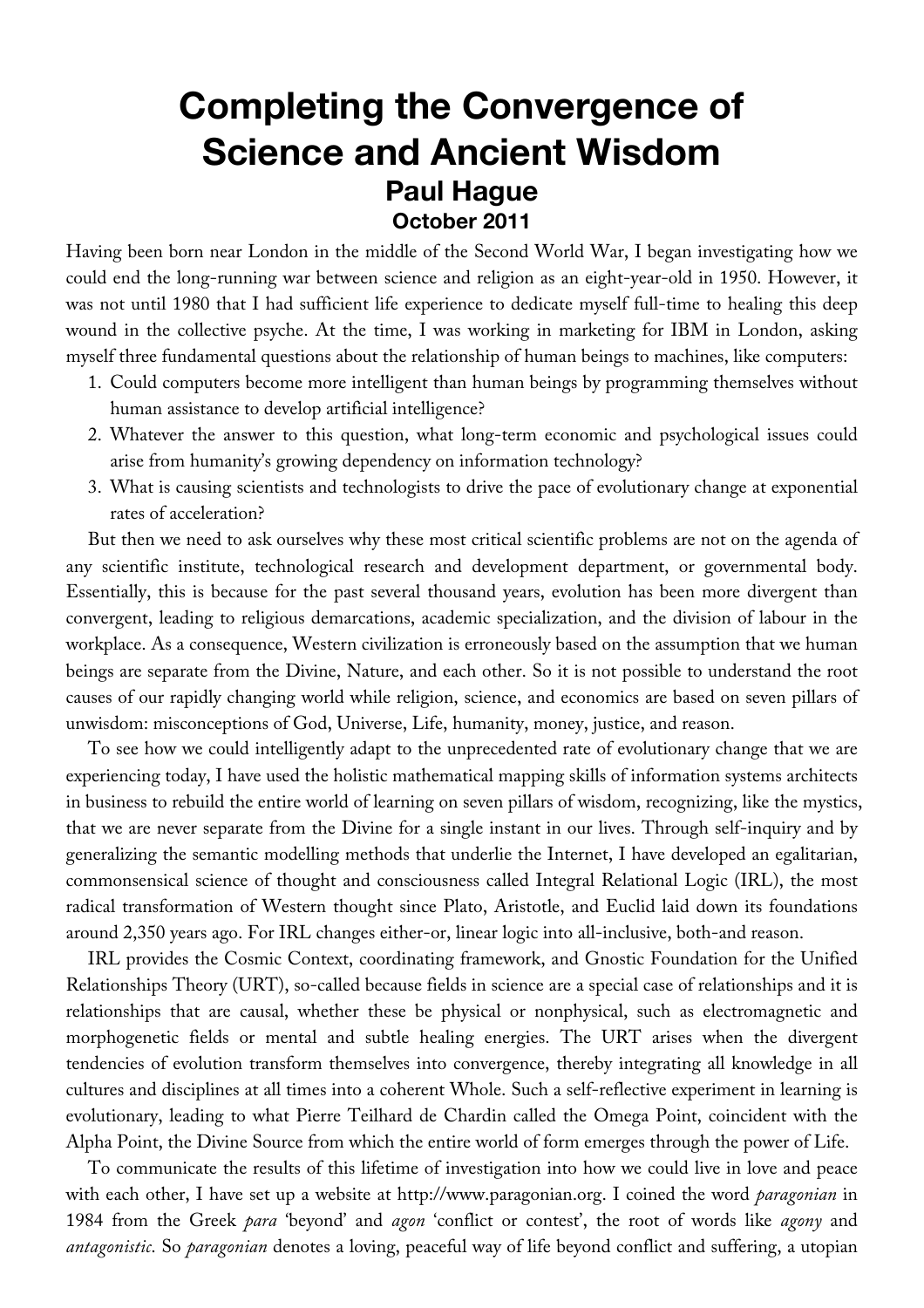# **Completing the Convergence of Science and Ancient Wisdom Paul Hague October 2011**

Having been born near London in the middle of the Second World War, I began investigating how we could end the long-running war between science and religion as an eight-year-old in 1950. However, it was not until 1980 that I had sufficient life experience to dedicate myself full-time to healing this deep wound in the collective psyche. At the time, I was working in marketing for IBM in London, asking myself three fundamental questions about the relationship of human beings to machines, like computers:

- 1. Could computers become more intelligent than human beings by programming themselves without human assistance to develop artificial intelligence?
- 2. Whatever the answer to this question, what long-term economic and psychological issues could arise from humanity's growing dependency on information technology?
- 3. What is causing scientists and technologists to drive the pace of evolutionary change at exponential rates of acceleration?

But then we need to ask ourselves why these most critical scientific problems are not on the agenda of any scientific institute, technological research and development department, or governmental body. Essentially, this is because for the past several thousand years, evolution has been more divergent than convergent, leading to religious demarcations, academic specialization, and the division of labour in the workplace. As a consequence, Western civilization is erroneously based on the assumption that we human beings are separate from the Divine, Nature, and each other. So it is not possible to understand the root causes of our rapidly changing world while religion, science, and economics are based on seven pillars of unwisdom: misconceptions of God, Universe, Life, humanity, money, justice, and reason.

To see how we could intelligently adapt to the unprecedented rate of evolutionary change that we are experiencing today, I have used the holistic mathematical mapping skills of information systems architects in business to rebuild the entire world of learning on seven pillars of wisdom, recognizing, like the mystics, that we are never separate from the Divine for a single instant in our lives. Through self-inquiry and by generalizing the semantic modelling methods that underlie the Internet, I have developed an egalitarian, commonsensical science of thought and consciousness called Integral Relational Logic (IRL), the most radical transformation of Western thought since Plato, Aristotle, and Euclid laid down its foundations around 2,350 years ago. For IRL changes either-or, linear logic into all-inclusive, both-and reason.

IRL provides the Cosmic Context, coordinating framework, and Gnostic Foundation for the Unified Relationships Theory (URT), so-called because fields in science are a special case of relationships and it is relationships that are causal, whether these be physical or nonphysical, such as electromagnetic and morphogenetic fields or mental and subtle healing energies. The URT arises when the divergent tendencies of evolution transform themselves into convergence, thereby integrating all knowledge in all cultures and disciplines at all times into a coherent Whole. Such a self-reflective experiment in learning is evolutionary, leading to what Pierre Teilhard de Chardin called the Omega Point, coincident with the Alpha Point, the Divine Source from which the entire world of form emerges through the power of Life.

To communicate the results of this lifetime of investigation into how we could live in love and peace with each other, I have set up a website at http://www.paragonian.org. I coined the word *paragonian* in 1984 from the Greek *para* 'beyond' and *agon* 'conflict or contest', the root of words like *agony* and *antagonistic*. So *paragonian* denotes a loving, peaceful way of life beyond conflict and suffering, a utopian